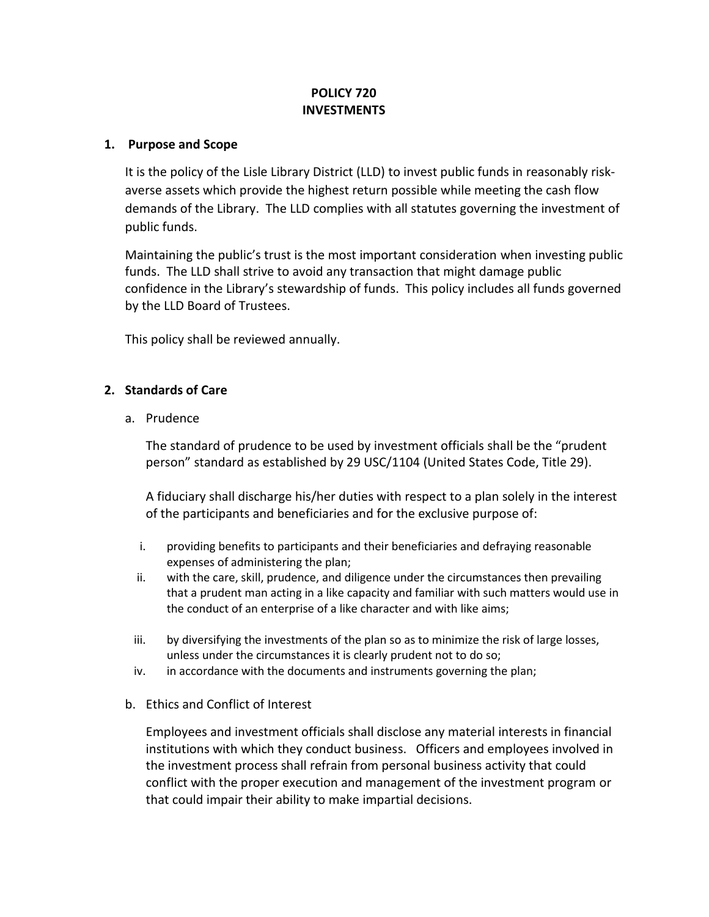# **POLICY 720 INVESTMENTS**

#### **1. Purpose and Scope**

It is the policy of the Lisle Library District (LLD) to invest public funds in reasonably riskaverse assets which provide the highest return possible while meeting the cash flow demands of the Library. The LLD complies with all statutes governing the investment of public funds.

Maintaining the public's trust is the most important consideration when investing public funds. The LLD shall strive to avoid any transaction that might damage public confidence in the Library's stewardship of funds.This policy includes all funds governed by the LLD Board of Trustees.

This policy shall be reviewed annually.

## **2. Standards of Care**

a. Prudence

The standard of prudence to be used by investment officials shall be the "prudent person" standard as established by 29 USC/1104 (United States Code, Title 29).

A fiduciary shall discharge his/her duties with respect to a plan solely in the interest of the participants and beneficiaries and for the exclusive purpose of:

- i. providing benefits to participants and their beneficiaries and defraying reasonable expenses of administering the plan;
- ii. with the care, skill, prudence, and diligence under the circumstances then prevailing that a prudent man acting in a like capacity and familiar with such matters would use in the conduct of an enterprise of a like character and with like aims;
- iii. by diversifying the investments of the plan so as to minimize the risk of large losses, unless under the circumstances it is clearly prudent not to do so;
- iv. in accordance with the documents and instruments governing the plan;
- b. Ethics and Conflict of Interest

Employees and investment officials shall disclose any material interests in financial institutions with which they conduct business. Officers and employees involved in the investment process shall refrain from personal business activity that could conflict with the proper execution and management of the investment program or that could impair their ability to make impartial decisions.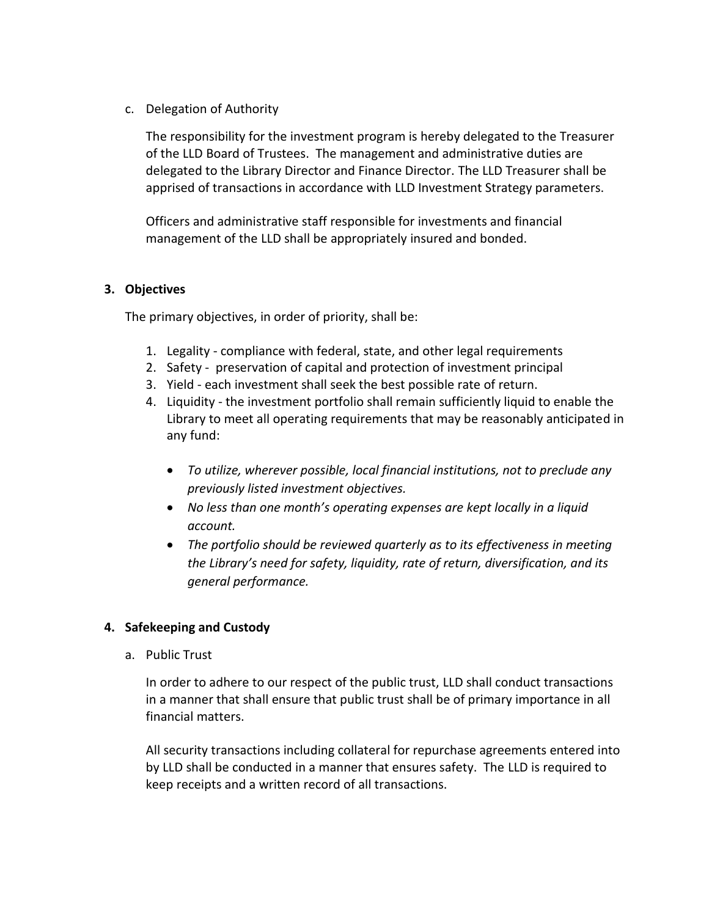## c. Delegation of Authority

The responsibility for the investment program is hereby delegated to the Treasurer of the LLD Board of Trustees. The management and administrative duties are delegated to the Library Director and Finance Director. The LLD Treasurer shall be apprised of transactions in accordance with LLD Investment Strategy parameters.

Officers and administrative staff responsible for investments and financial management of the LLD shall be appropriately insured and bonded.

## **3. Objectives**

The primary objectives, in order of priority, shall be:

- 1. Legality compliance with federal, state, and other legal requirements
- 2. Safety preservation of capital and protection of investment principal
- 3. Yield each investment shall seek the best possible rate of return.
- 4. Liquidity the investment portfolio shall remain sufficiently liquid to enable the Library to meet all operating requirements that may be reasonably anticipated in any fund:
	- *To utilize, wherever possible, local financial institutions, not to preclude any previously listed investment objectives.*
	- *No less than one month's operating expenses are kept locally in a liquid account.*
	- *The portfolio should be reviewed quarterly as to its effectiveness in meeting the Library's need for safety, liquidity, rate of return, diversification, and its general performance.*

# **4. Safekeeping and Custody**

a. Public Trust

In order to adhere to our respect of the public trust, LLD shall conduct transactions in a manner that shall ensure that public trust shall be of primary importance in all financial matters.

All security transactions including collateral for repurchase agreements entered into by LLD shall be conducted in a manner that ensures safety. The LLD is required to keep receipts and a written record of all transactions.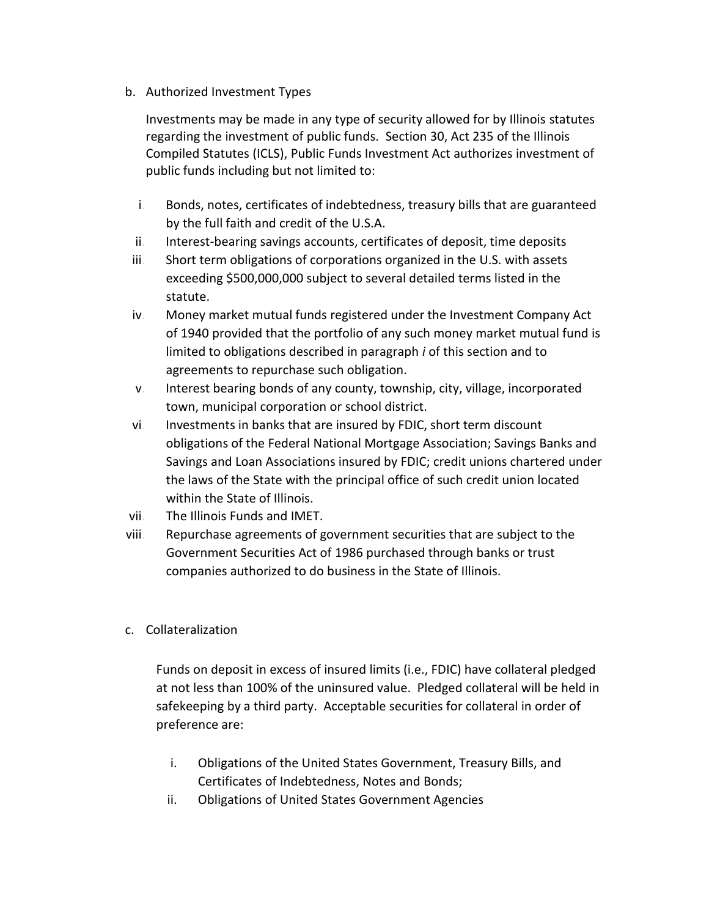b. Authorized Investment Types

Investments may be made in any type of security allowed for by Illinois statutes regarding the investment of public funds. Section 30, Act 235 of the Illinois Compiled Statutes (ICLS), Public Funds Investment Act authorizes investment of public funds including but not limited to:

- i. Bonds, notes, certificates of indebtedness, treasury bills that are guaranteed by the full faith and credit of the U.S.A.
- ii. Interest-bearing savings accounts, certificates of deposit, time deposits
- iii. Short term obligations of corporations organized in the U.S. with assets exceeding \$500,000,000 subject to several detailed terms listed in the statute.
- iv. Money market mutual funds registered under the Investment Company Act of 1940 provided that the portfolio of any such money market mutual fund is limited to obligations described in paragraph *i* of this section and to agreements to repurchase such obligation.
- v. Interest bearing bonds of any county, township, city, village, incorporated town, municipal corporation or school district.
- vi. Investments in banks that are insured by FDIC, short term discount obligations of the Federal National Mortgage Association; Savings Banks and Savings and Loan Associations insured by FDIC; credit unions chartered under the laws of the State with the principal office of such credit union located within the State of Illinois.
- vii. The Illinois Funds and IMET.
- viii. Repurchase agreements of government securities that are subject to the Government Securities Act of 1986 purchased through banks or trust companies authorized to do business in the State of Illinois.
- c. Collateralization

Funds on deposit in excess of insured limits (i.e., FDIC) have collateral pledged at not less than 100% of the uninsured value. Pledged collateral will be held in safekeeping by a third party. Acceptable securities for collateral in order of preference are:

- i. Obligations of the United States Government, Treasury Bills, and Certificates of Indebtedness, Notes and Bonds;
- ii. Obligations of United States Government Agencies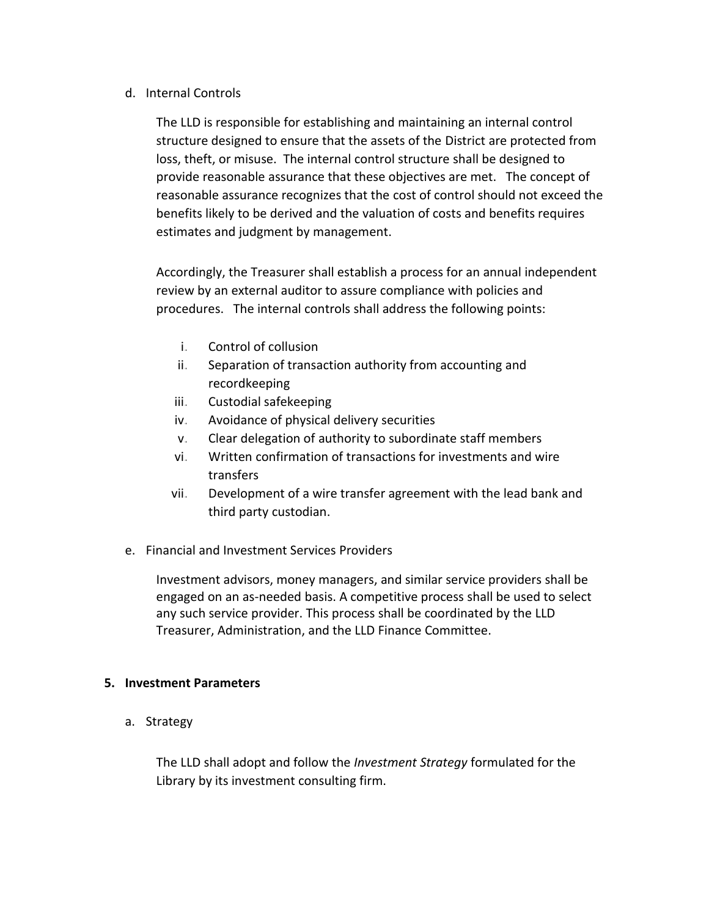#### d. Internal Controls

The LLD is responsible for establishing and maintaining an internal control structure designed to ensure that the assets of the District are protected from loss, theft, or misuse. The internal control structure shall be designed to provide reasonable assurance that these objectives are met. The concept of reasonable assurance recognizes that the cost of control should not exceed the benefits likely to be derived and the valuation of costs and benefits requires estimates and judgment by management.

Accordingly, the Treasurer shall establish a process for an annual independent review by an external auditor to assure compliance with policies and procedures. The internal controls shall address the following points:

- i. Control of collusion
- ii. Separation of transaction authority from accounting and recordkeeping
- iii. Custodial safekeeping
- iv. Avoidance of physical delivery securities
- v. Clear delegation of authority to subordinate staff members
- vi. Written confirmation of transactions for investments and wire transfers
- vii. Development of a wire transfer agreement with the lead bank and third party custodian.
- e. Financial and Investment Services Providers

Investment advisors, money managers, and similar service providers shall be engaged on an as-needed basis. A competitive process shall be used to select any such service provider. This process shall be coordinated by the LLD Treasurer, Administration, and the LLD Finance Committee.

#### **5. Investment Parameters**

a. Strategy

The LLD shall adopt and follow the *Investment Strategy* formulated for the Library by its investment consulting firm.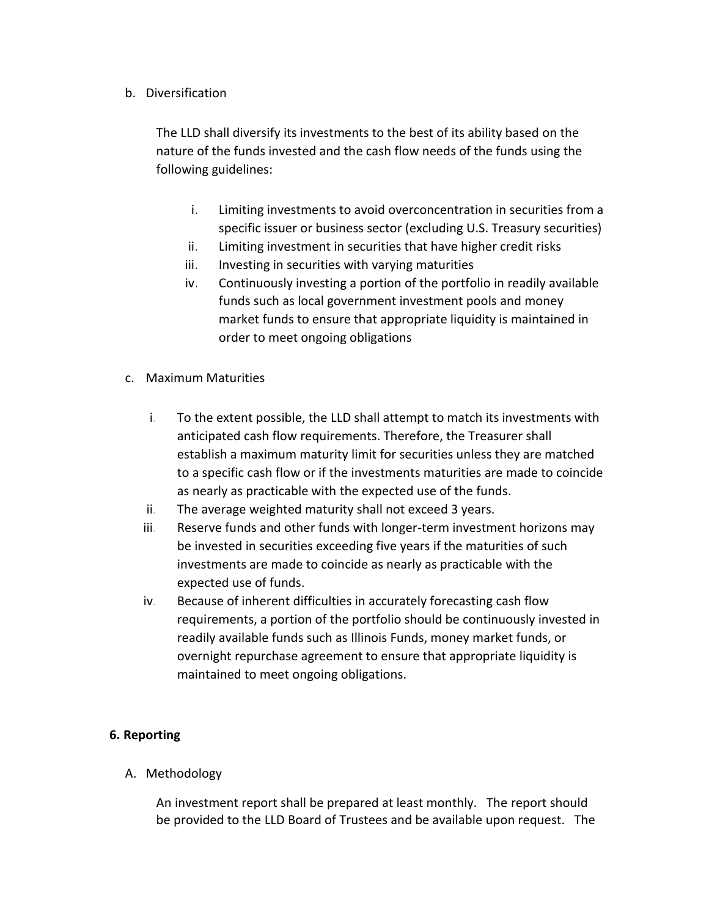b. Diversification

The LLD shall diversify its investments to the best of its ability based on the nature of the funds invested and the cash flow needs of the funds using the following guidelines:

- i. Limiting investments to avoid overconcentration in securities from a specific issuer or business sector (excluding U.S. Treasury securities)
- ii. Limiting investment in securities that have higher credit risks
- iii. Investing in securities with varying maturities
- iv. Continuously investing a portion of the portfolio in readily available funds such as local government investment pools and money market funds to ensure that appropriate liquidity is maintained in order to meet ongoing obligations
- c. Maximum Maturities
	- i. To the extent possible, the LLD shall attempt to match its investments with anticipated cash flow requirements. Therefore, the Treasurer shall establish a maximum maturity limit for securities unless they are matched to a specific cash flow or if the investments maturities are made to coincide as nearly as practicable with the expected use of the funds.
	- ii. The average weighted maturity shall not exceed 3 years.
	- iii. Reserve funds and other funds with longer-term investment horizons may be invested in securities exceeding five years if the maturities of such investments are made to coincide as nearly as practicable with the expected use of funds.
	- iv. Because of inherent difficulties in accurately forecasting cash flow requirements, a portion of the portfolio should be continuously invested in readily available funds such as Illinois Funds, money market funds, or overnight repurchase agreement to ensure that appropriate liquidity is maintained to meet ongoing obligations.

# **6. Reporting**

A. Methodology

An investment report shall be prepared at least monthly. The report should be provided to the LLD Board of Trustees and be available upon request. The